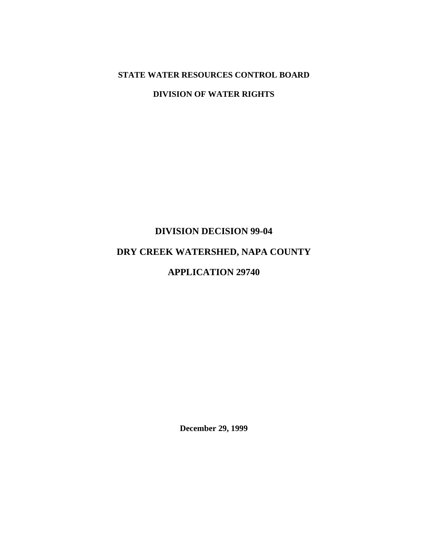# **STATE WATER RESOURCES CONTROL BOARD**

**DIVISION OF WATER RIGHTS** 

# **DIVISION DECISION 99-04**

# **DRY CREEK WATERSHED, NAPA COUNTY**

# **APPLICATION 29740**

**December 29, 1999**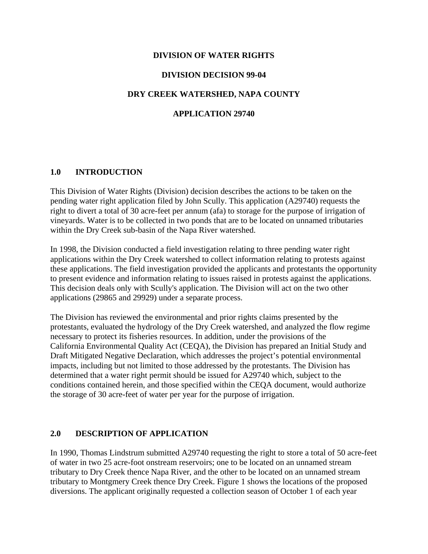## **DIVISION OF WATER RIGHTS**

## **DIVISION DECISION 99-04**

## **DRY CREEK WATERSHED, NAPA COUNTY**

# **APPLICATION 29740**

#### **1.0 INTRODUCTION**

This Division of Water Rights (Division) decision describes the actions to be taken on the pending water right application filed by John Scully. This application (A29740) requests the right to divert a total of 30 acre-feet per annum (afa) to storage for the purpose of irrigation of vineyards. Water is to be collected in two ponds that are to be located on unnamed tributaries within the Dry Creek sub-basin of the Napa River watershed.

In 1998, the Division conducted a field investigation relating to three pending water right applications within the Dry Creek watershed to collect information relating to protests against these applications. The field investigation provided the applicants and protestants the opportunity to present evidence and information relating to issues raised in protests against the applications. This decision deals only with Scully's application. The Division will act on the two other applications (29865 and 29929) under a separate process.

The Division has reviewed the environmental and prior rights claims presented by the protestants, evaluated the hydrology of the Dry Creek watershed, and analyzed the flow regime necessary to protect its fisheries resources. In addition, under the provisions of the California Environmental Quality Act (CEQA), the Division has prepared an Initial Study and Draft Mitigated Negative Declaration, which addresses the project's potential environmental impacts, including but not limited to those addressed by the protestants. The Division has determined that a water right permit should be issued for A29740 which, subject to the conditions contained herein, and those specified within the CEQA document, would authorize the storage of 30 acre-feet of water per year for the purpose of irrigation.

#### **2.0 DESCRIPTION OF APPLICATION**

In 1990, Thomas Lindstrum submitted A29740 requesting the right to store a total of 50 acre-feet of water in two 25 acre-foot onstream reservoirs; one to be located on an unnamed stream tributary to Dry Creek thence Napa River, and the other to be located on an unnamed stream tributary to Montgmery Creek thence Dry Creek. Figure 1 shows the locations of the proposed diversions. The applicant originally requested a collection season of October 1 of each year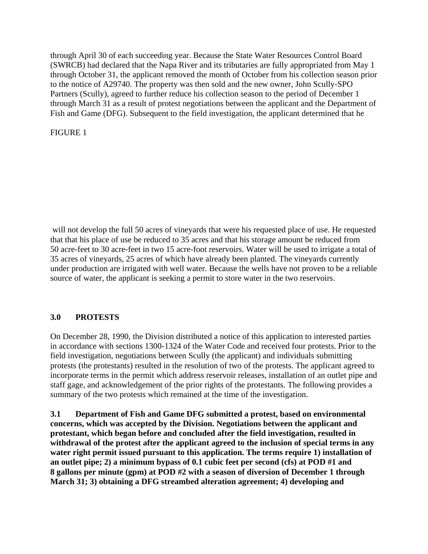through April 30 of each succeeding year. Because the State Water Resources Control Board (SWRCB) had declared that the Napa River and its tributaries are fully appropriated from May 1 through October 31, the applicant removed the month of October from his collection season prior to the notice of A29740. The property was then sold and the new owner, John Scully-SPO Partners (Scully), agreed to further reduce his collection season to the period of December 1 through March 31 as a result of protest negotiations between the applicant and the Department of Fish and Game (DFG). Subsequent to the field investigation, the applicant determined that he

FIGURE 1

 will not develop the full 50 acres of vineyards that were his requested place of use. He requested that that his place of use be reduced to 35 acres and that his storage amount be reduced from 50 acre-feet to 30 acre-feet in two 15 acre-foot reservoirs. Water will be used to irrigate a total of 35 acres of vineyards, 25 acres of which have already been planted. The vineyards currently under production are irrigated with well water. Because the wells have not proven to be a reliable source of water, the applicant is seeking a permit to store water in the two reservoirs.

# **3.0 PROTESTS**

On December 28, 1990, the Division distributed a notice of this application to interested parties in accordance with sections 1300-1324 of the Water Code and received four protests. Prior to the field investigation, negotiations between Scully (the applicant) and individuals submitting protests (the protestants) resulted in the resolution of two of the protests. The applicant agreed to incorporate terms in the permit which address reservoir releases, installation of an outlet pipe and staff gage, and acknowledgement of the prior rights of the protestants. The following provides a summary of the two protests which remained at the time of the investigation.

**3.1 Department of Fish and Game DFG submitted a protest, based on environmental concerns, which was accepted by the Division. Negotiations between the applicant and protestant, which began before and concluded after the field investigation, resulted in withdrawal of the protest after the applicant agreed to the inclusion of special terms in any water right permit issued pursuant to this application. The terms require 1) installation of an outlet pipe; 2) a minimum bypass of 0.1 cubic feet per second (cfs) at POD #1 and 8 gallons per minute (gpm) at POD #2 with a season of diversion of December 1 through March 31; 3) obtaining a DFG streambed alteration agreement; 4) developing and**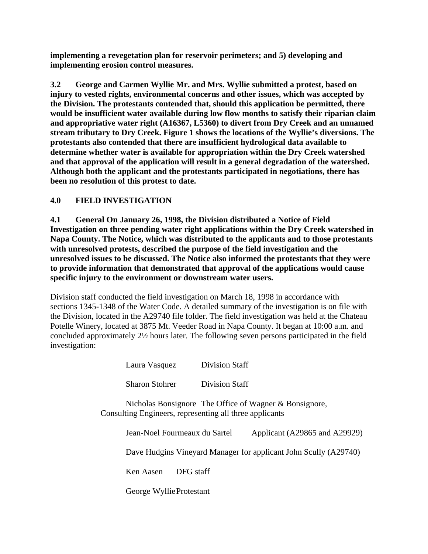**implementing a revegetation plan for reservoir perimeters; and 5) developing and implementing erosion control measures.** 

**3.2 George and Carmen Wyllie Mr. and Mrs. Wyllie submitted a protest, based on injury to vested rights, environmental concerns and other issues, which was accepted by the Division. The protestants contended that, should this application be permitted, there would be insufficient water available during low flow months to satisfy their riparian claim and appropriative water right (A16367, L5360) to divert from Dry Creek and an unnamed stream tributary to Dry Creek. Figure 1 shows the locations of the Wyllie's diversions. The protestants also contended that there are insufficient hydrological data available to determine whether water is available for appropriation within the Dry Creek watershed and that approval of the application will result in a general degradation of the watershed. Although both the applicant and the protestants participated in negotiations, there has been no resolution of this protest to date.** 

# **4.0 FIELD INVESTIGATION**

**4.1 General On January 26, 1998, the Division distributed a Notice of Field Investigation on three pending water right applications within the Dry Creek watershed in Napa County. The Notice, which was distributed to the applicants and to those protestants with unresolved protests, described the purpose of the field investigation and the unresolved issues to be discussed. The Notice also informed the protestants that they were to provide information that demonstrated that approval of the applications would cause specific injury to the environment or downstream water users.** 

Division staff conducted the field investigation on March 18, 1998 in accordance with sections 1345-1348 of the Water Code. A detailed summary of the investigation is on file with the Division, located in the A29740 file folder. The field investigation was held at the Chateau Potelle Winery, located at 3875 Mt. Veeder Road in Napa County. It began at 10:00 a.m. and concluded approximately 2½ hours later. The following seven persons participated in the field investigation:

| Laura Vasquez                                           | <b>Division Staff</b> |                                                                  |  |
|---------------------------------------------------------|-----------------------|------------------------------------------------------------------|--|
| <b>Sharon Stohrer</b>                                   | Division Staff        |                                                                  |  |
| Consulting Engineers, representing all three applicants |                       | Nicholas Bonsignore The Office of Wagner & Bonsignore,           |  |
| Jean-Noel Fourmeaux du Sartel                           |                       | Applicant (A29865 and A29929)                                    |  |
|                                                         |                       | Dave Hudgins Vineyard Manager for applicant John Scully (A29740) |  |
| Ken Aasen<br>DFG staff                                  |                       |                                                                  |  |
| George Wyllie Protestant                                |                       |                                                                  |  |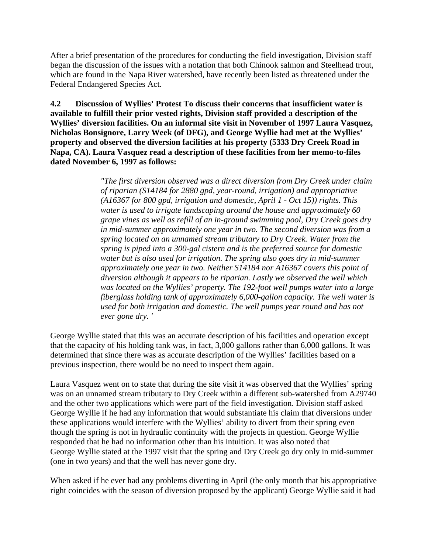After a brief presentation of the procedures for conducting the field investigation, Division staff began the discussion of the issues with a notation that both Chinook salmon and Steelhead trout, which are found in the Napa River watershed, have recently been listed as threatened under the Federal Endangered Species Act.

**4.2 Discussion of Wyllies' Protest To discuss their concerns that insufficient water is available to fulfill their prior vested rights, Division staff provided a description of the Wyllies' diversion facilities. On an informal site visit in November of 1997 Laura Vasquez, Nicholas Bonsignore, Larry Week (of DFG), and George Wyllie had met at the Wyllies' property and observed the diversion facilities at his property (5333 Dry Creek Road in Napa, CA). Laura Vasquez read a description of these facilities from her memo-to-files dated November 6, 1997 as follows:** 

> *"The first diversion observed was a direct diversion from Dry Creek under claim of riparian (S14184 for 2880 gpd, year-round, irrigation) and appropriative (A16367 for 800 gpd, irrigation and domestic, April 1 - Oct 15)) rights. This water is used to irrigate landscaping around the house and approximately 60 grape vines as well as refill of an in-ground swimming pool, Dry Creek goes dry in mid-summer approximately one year in two. The second diversion was from a spring located on an unnamed stream tributary to Dry Creek. Water from the spring is piped into a 300-gal cistern and is the preferred source for domestic water but is also used for irrigation. The spring also goes dry in mid-summer approximately one year in two. Neither S14184 nor A16367 covers this point of diversion although it appears to be riparian. Lastly we observed the well which was located on the Wyllies' property. The 192-foot well pumps water into a large fiberglass holding tank of approximately 6,000-gallon capacity. The well water is used for both irrigation and domestic. The well pumps year round and has not ever gone dry. '*

George Wyllie stated that this was an accurate description of his facilities and operation except that the capacity of his holding tank was, in fact, 3,000 gallons rather than 6,000 gallons. It was determined that since there was as accurate description of the Wyllies' facilities based on a previous inspection, there would be no need to inspect them again.

Laura Vasquez went on to state that during the site visit it was observed that the Wyllies' spring was on an unnamed stream tributary to Dry Creek within a different sub-watershed from A29740 and the other two applications which were part of the field investigation. Division staff asked George Wyllie if he had any information that would substantiate his claim that diversions under these applications would interfere with the Wyllies' ability to divert from their spring even though the spring is not in hydraulic continuity with the projects in question. George Wyllie responded that he had no information other than his intuition. It was also noted that George Wyllie stated at the 1997 visit that the spring and Dry Creek go dry only in mid-summer (one in two years) and that the well has never gone dry.

When asked if he ever had any problems diverting in April (the only month that his appropriative right coincides with the season of diversion proposed by the applicant) George Wyllie said it had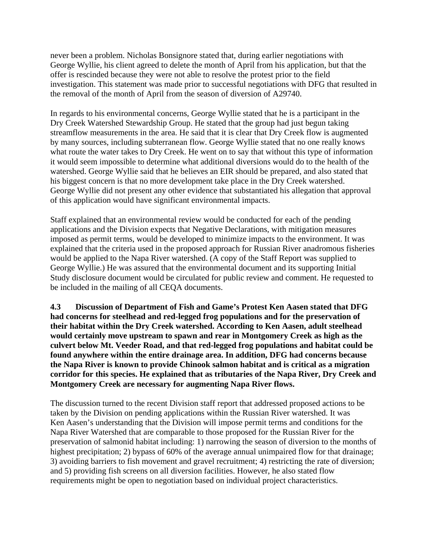never been a problem. Nicholas Bonsignore stated that, during earlier negotiations with George Wyllie, his client agreed to delete the month of April from his application, but that the offer is rescinded because they were not able to resolve the protest prior to the field investigation. This statement was made prior to successful negotiations with DFG that resulted in the removal of the month of April from the season of diversion of A29740.

In regards to his environmental concerns, George Wyllie stated that he is a participant in the Dry Creek Watershed Stewardship Group. He stated that the group had just begun taking streamflow measurements in the area. He said that it is clear that Dry Creek flow is augmented by many sources, including subterranean flow. George Wyllie stated that no one really knows what route the water takes to Dry Creek. He went on to say that without this type of information it would seem impossible to determine what additional diversions would do to the health of the watershed. George Wyllie said that he believes an EIR should be prepared, and also stated that his biggest concern is that no more development take place in the Dry Creek watershed. George Wyllie did not present any other evidence that substantiated his allegation that approval of this application would have significant environmental impacts.

Staff explained that an environmental review would be conducted for each of the pending applications and the Division expects that Negative Declarations, with mitigation measures imposed as permit terms, would be developed to minimize impacts to the environment. It was explained that the criteria used in the proposed approach for Russian River anadromous fisheries would be applied to the Napa River watershed. (A copy of the Staff Report was supplied to George Wyllie.) He was assured that the environmental document and its supporting Initial Study disclosure document would be circulated for public review and comment. He requested to be included in the mailing of all CEQA documents.

**4.3 Discussion of Department of Fish and Game's Protest Ken Aasen stated that DFG had concerns for steelhead and red-legged frog populations and for the preservation of their habitat within the Dry Creek watershed. According to Ken Aasen, adult steelhead would certainly move upstream to spawn and rear in Montgomery Creek as high as the culvert below Mt. Veeder Road, and that red-legged frog populations and habitat could be found anywhere within the entire drainage area. In addition, DFG had concerns because the Napa River is known to provide Chinook salmon habitat and is critical as a migration corridor for this species. He explained that as tributaries of the Napa River, Dry Creek and Montgomery Creek are necessary for augmenting Napa River flows.** 

The discussion turned to the recent Division staff report that addressed proposed actions to be taken by the Division on pending applications within the Russian River watershed. It was Ken Aasen's understanding that the Division will impose permit terms and conditions for the Napa River Watershed that are comparable to those proposed for the Russian River for the preservation of salmonid habitat including: 1) narrowing the season of diversion to the months of highest precipitation; 2) bypass of 60% of the average annual unimpaired flow for that drainage; 3) avoiding barriers to fish movement and gravel recruitment; 4) restricting the rate of diversion; and 5) providing fish screens on all diversion facilities. However, he also stated flow requirements might be open to negotiation based on individual project characteristics.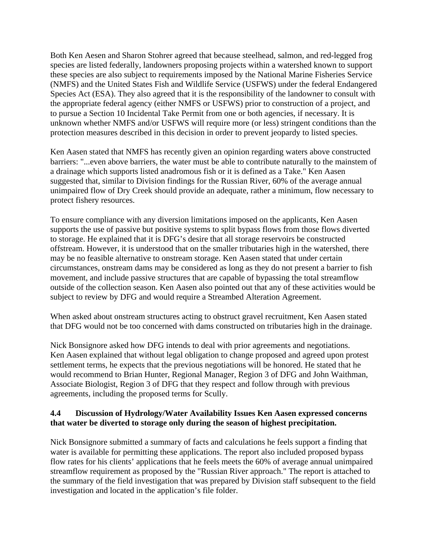Both Ken Aesen and Sharon Stohrer agreed that because steelhead, salmon, and red-legged frog species are listed federally, landowners proposing projects within a watershed known to support these species are also subject to requirements imposed by the National Marine Fisheries Service (NMFS) and the United States Fish and Wildlife Service (USFWS) under the federal Endangered Species Act (ESA). They also agreed that it is the responsibility of the landowner to consult with the appropriate federal agency (either NMFS or USFWS) prior to construction of a project, and to pursue a Section 10 Incidental Take Permit from one or both agencies, if necessary. It is unknown whether NMFS and/or USFWS will require more (or less) stringent conditions than the protection measures described in this decision in order to prevent jeopardy to listed species.

Ken Aasen stated that NMFS has recently given an opinion regarding waters above constructed barriers: "...even above barriers, the water must be able to contribute naturally to the mainstem of a drainage which supports listed anadromous fish or it is defined as a Take." Ken Aasen suggested that, similar to Division findings for the Russian River, 60% of the average annual unimpaired flow of Dry Creek should provide an adequate, rather a minimum, flow necessary to protect fishery resources.

To ensure compliance with any diversion limitations imposed on the applicants, Ken Aasen supports the use of passive but positive systems to split bypass flows from those flows diverted to storage. He explained that it is DFG's desire that all storage reservoirs be constructed offstream. However, it is understood that on the smaller tributaries high in the watershed, there may be no feasible alternative to onstream storage. Ken Aasen stated that under certain circumstances, onstream dams may be considered as long as they do not present a barrier to fish movement, and include passive structures that are capable of bypassing the total streamflow outside of the collection season. Ken Aasen also pointed out that any of these activities would be subject to review by DFG and would require a Streambed Alteration Agreement.

When asked about onstream structures acting to obstruct gravel recruitment, Ken Aasen stated that DFG would not be too concerned with dams constructed on tributaries high in the drainage.

Nick Bonsignore asked how DFG intends to deal with prior agreements and negotiations. Ken Aasen explained that without legal obligation to change proposed and agreed upon protest settlement terms, he expects that the previous negotiations will be honored. He stated that he would recommend to Brian Hunter, Regional Manager, Region 3 of DFG and John Waithman, Associate Biologist, Region 3 of DFG that they respect and follow through with previous agreements, including the proposed terms for Scully.

# **4.4 Discussion of Hydrology/Water Availability Issues Ken Aasen expressed concerns that water be diverted to storage only during the season of highest precipitation.**

Nick Bonsignore submitted a summary of facts and calculations he feels support a finding that water is available for permitting these applications. The report also included proposed bypass flow rates for his clients' applications that he feels meets the 60% of average annual unimpaired streamflow requirement as proposed by the "Russian River approach." The report is attached to the summary of the field investigation that was prepared by Division staff subsequent to the field investigation and located in the application's file folder.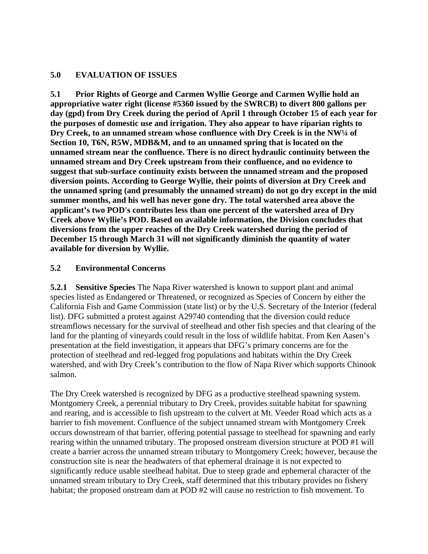# **5.0 EVALUATION OF ISSUES**

**5.1 Prior Rights of George and Carmen Wyllie George and Carmen Wyllie hold an appropriative water right (license #5360 issued by the SWRCB) to divert 800 gallons per day (gpd) from Dry Creek during the period of April 1 through October 15 of each year for the purposes of domestic use and irrigation. They also appear to have riparian rights to Dry Creek, to an unnamed stream whose confluence with Dry Creek is in the NW¼ of Section 10, T6N, R5W, MDB&M, and to an unnamed spring that is located on the unnamed stream near the confluence. There is no direct hydraulic continuity between the unnamed stream and Dry Creek upstream from their confluence, and no evidence to suggest that sub-surface continuity exists between the unnamed stream and the proposed diversion points. According to George Wyllie, their points of diversion at Dry Creek and the unnamed spring (and presumably the unnamed stream) do not go dry except in the mid summer months, and his well has never gone dry. The total watershed area above the applicant's two POD's contributes less than one percent of the watershed area of Dry Creek above Wyllie's POD. Based on available information, the Division concludes that diversions from the upper reaches of the Dry Creek watershed during the period of December 15 through March 31 will not significantly diminish the quantity of water available for diversion by Wyllie.** 

# **5.2 Environmental Concerns**

**5.2.1 Sensitive Species** The Napa River watershed is known to support plant and animal species listed as Endangered or Threatened, or recognized as Species of Concern by either the California Fish and Game Commission (state list) or by the U.S. Secretary of the Interior (federal list). DFG submitted a protest against A29740 contending that the diversion could reduce streamflows necessary for the survival of steelhead and other fish species and that clearing of the land for the planting of vineyards could result in the loss of wildlife habitat. From Ken Aasen's presentation at the field investigation, it appears that DFG's primary concerns are for the protection of steelhead and red-legged frog populations and habitats within the Dry Creek watershed, and with Dry Creek's contribution to the flow of Napa River which supports Chinook salmon.

The Dry Creek watershed is recognized by DFG as a productive steelhead spawning system. Montgomery Creek, a perennial tributary to Dry Creek, provides suitable habitat for spawning and rearing, and is accessible to fish upstream to the culvert at Mt. Veeder Road which acts as a barrier to fish movement. Confluence of the subject unnamed stream with Montgomery Creek occurs downstream of that barrier, offering potential passage to steelhead for spawning and early rearing within the unnamed tributary. The proposed onstream diversion structure at POD #1 will create a barrier across the unnamed stream tributary to Montgomery Creek; however, because the construction site is near the headwaters of that ephemeral drainage it is not expected to significantly reduce usable steelhead habitat. Due to steep grade and ephemeral character of the unnamed stream tributary to Dry Creek, staff determined that this tributary provides no fishery habitat; the proposed onstream dam at POD #2 will cause no restriction to fish movement. To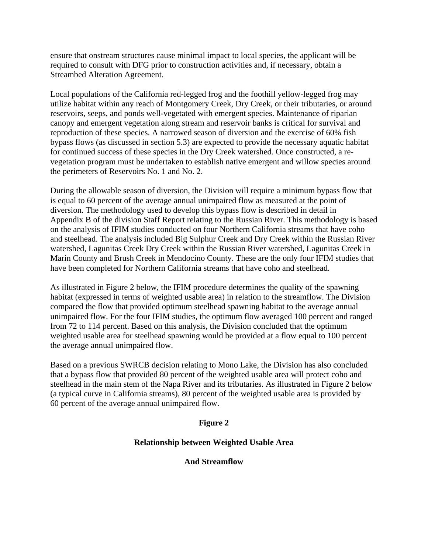ensure that onstream structures cause minimal impact to local species, the applicant will be required to consult with DFG prior to construction activities and, if necessary, obtain a Streambed Alteration Agreement.

Local populations of the California red-legged frog and the foothill yellow-legged frog may utilize habitat within any reach of Montgomery Creek, Dry Creek, or their tributaries, or around reservoirs, seeps, and ponds well-vegetated with emergent species. Maintenance of riparian canopy and emergent vegetation along stream and reservoir banks is critical for survival and reproduction of these species. A narrowed season of diversion and the exercise of 60% fish bypass flows (as discussed in section 5.3) are expected to provide the necessary aquatic habitat for continued success of these species in the Dry Creek watershed. Once constructed, a revegetation program must be undertaken to establish native emergent and willow species around the perimeters of Reservoirs No. 1 and No. 2.

During the allowable season of diversion, the Division will require a minimum bypass flow that is equal to 60 percent of the average annual unimpaired flow as measured at the point of diversion. The methodology used to develop this bypass flow is described in detail in Appendix B of the division Staff Report relating to the Russian River. This methodology is based on the analysis of IFIM studies conducted on four Northern California streams that have coho and steelhead. The analysis included Big Sulphur Creek and Dry Creek within the Russian River watershed, Lagunitas Creek Dry Creek within the Russian River watershed, Lagunitas Creek in Marin County and Brush Creek in Mendocino County. These are the only four IFIM studies that have been completed for Northern California streams that have coho and steelhead.

As illustrated in Figure 2 below, the IFIM procedure determines the quality of the spawning habitat (expressed in terms of weighted usable area) in relation to the streamflow. The Division compared the flow that provided optimum steelhead spawning habitat to the average annual unimpaired flow. For the four IFIM studies, the optimum flow averaged 100 percent and ranged from 72 to 114 percent. Based on this analysis, the Division concluded that the optimum weighted usable area for steelhead spawning would be provided at a flow equal to 100 percent the average annual unimpaired flow.

Based on a previous SWRCB decision relating to Mono Lake, the Division has also concluded that a bypass flow that provided 80 percent of the weighted usable area will protect coho and steelhead in the main stem of the Napa River and its tributaries. As illustrated in Figure 2 below (a typical curve in California streams), 80 percent of the weighted usable area is provided by 60 percent of the average annual unimpaired flow.

# **Figure 2**

# **Relationship between Weighted Usable Area**

#### **And Streamflow**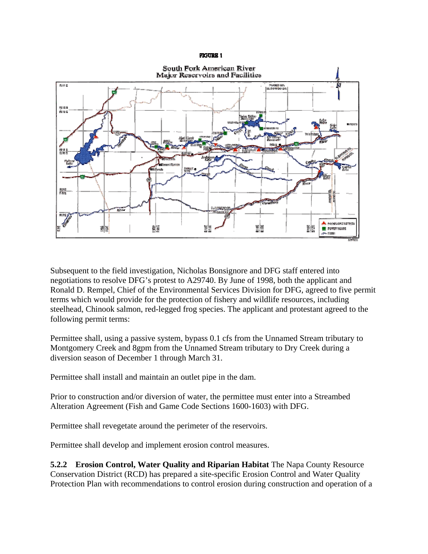#### **FIGURE 1**



Subsequent to the field investigation, Nicholas Bonsignore and DFG staff entered into negotiations to resolve DFG's protest to A29740. By June of 1998, both the applicant and Ronald D. Rempel, Chief of the Environmental Services Division for DFG, agreed to five permit terms which would provide for the protection of fishery and wildlife resources, including steelhead, Chinook salmon, red-legged frog species. The applicant and protestant agreed to the following permit terms:

Permittee shall, using a passive system, bypass 0.1 cfs from the Unnamed Stream tributary to Montgomery Creek and 8gpm from the Unnamed Stream tributary to Dry Creek during a diversion season of December 1 through March 31.

Permittee shall install and maintain an outlet pipe in the dam.

Prior to construction and/or diversion of water, the permittee must enter into a Streambed Alteration Agreement (Fish and Game Code Sections 1600-1603) with DFG.

Permittee shall revegetate around the perimeter of the reservoirs.

Permittee shall develop and implement erosion control measures.

**5.2.2 Erosion Control, Water Quality and Riparian Habitat** The Napa County Resource Conservation District (RCD) has prepared a site-specific Erosion Control and Water Quality Protection Plan with recommendations to control erosion during construction and operation of a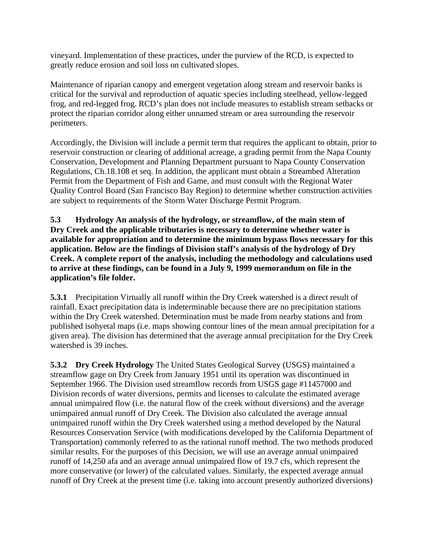vineyard. Implementation of these practices, under the purview of the RCD, is expected to greatly reduce erosion and soil loss on cultivated slopes.

Maintenance of riparian canopy and emergent vegetation along stream and reservoir banks is critical for the survival and reproduction of aquatic species including steelhead, yellow-legged frog, and red-legged frog. RCD's plan does not include measures to establish stream setbacks or protect the riparian corridor along either unnamed stream or area surrounding the reservoir perimeters.

Accordingly, the Division will include a permit term that requires the applicant to obtain, prior to reservoir construction or clearing of additional acreage, a grading permit from the Napa County Conservation, Development and Planning Department pursuant to Napa County Conservation Regulations, Ch.18.108 et seq. In addition, the applicant must obtain a Streambed Alteration Permit from the Department of Fish and Game, and must consult with the Regional Water Quality Control Board (San Francisco Bay Region) to determine whether construction activities are subject to requirements of the Storm Water Discharge Permit Program.

**5.3 Hydrology An analysis of the hydrology, or streamflow, of the main stem of Dry Creek and the applicable tributaries is necessary to determine whether water is available for appropriation and to determine the minimum bypass flows necessary for this application. Below are the findings of Division staff's analysis of the hydrology of Dry Creek. A complete report of the analysis, including the methodology and calculations used to arrive at these findings, can be found in a July 9, 1999 memorandum on file in the application's file folder.** 

**5.3.1** Precipitation Virtually all runoff within the Dry Creek watershed is a direct result of rainfall. Exact precipitation data is indeterminable because there are no precipitation stations within the Dry Creek watershed. Determination must be made from nearby stations and from published isohyetal maps (i.e. maps showing contour lines of the mean annual precipitation for a given area). The division has determined that the average annual precipitation for the Dry Creek watershed is 39 inches.

**5.3.2 Dry Creek Hydrology** The United States Geological Survey (USGS) maintained a streamflow gage on Dry Creek from January 1951 until its operation was discontinued in September 1966. The Division used streamflow records from USGS gage #11457000 and Division records of water diversions, permits and licenses to calculate the estimated average annual unimpaired flow (i.e. the natural flow of the creek without diversions) and the average unimpaired annual runoff of Dry Creek. The Division also calculated the average annual unimpaired runoff within the Dry Creek watershed using a method developed by the Natural Resources Conservation Service (with modifications developed by the California Department of Transportation) commonly referred to as the rational runoff method. The two methods produced similar results. For the purposes of this Decision, we will use an average annual unimpaired runoff of 14,250 afa and an average annual unimpaired flow of 19.7 cfs, which represent the more conservative (or lower) of the calculated values. Similarly, the expected average annual runoff of Dry Creek at the present time (i.e. taking into account presently authorized diversions)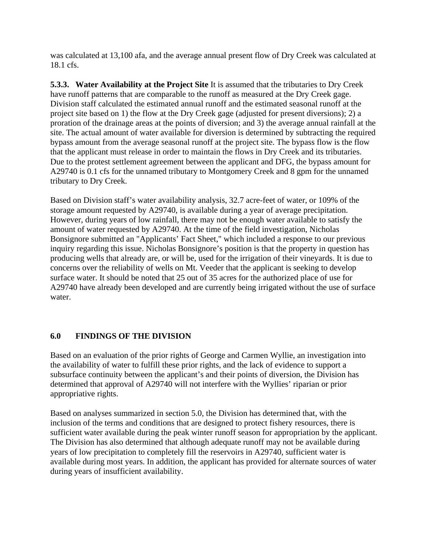was calculated at 13,100 afa, and the average annual present flow of Dry Creek was calculated at 18.1 cfs.

**5.3.3. Water Availability at the Project Site** It is assumed that the tributaries to Dry Creek have runoff patterns that are comparable to the runoff as measured at the Dry Creek gage. Division staff calculated the estimated annual runoff and the estimated seasonal runoff at the project site based on 1) the flow at the Dry Creek gage (adjusted for present diversions); 2) a proration of the drainage areas at the points of diversion; and 3) the average annual rainfall at the site. The actual amount of water available for diversion is determined by subtracting the required bypass amount from the average seasonal runoff at the project site. The bypass flow is the flow that the applicant must release in order to maintain the flows in Dry Creek and its tributaries. Due to the protest settlement agreement between the applicant and DFG, the bypass amount for A29740 is 0.1 cfs for the unnamed tributary to Montgomery Creek and 8 gpm for the unnamed tributary to Dry Creek.

Based on Division staff's water availability analysis, 32.7 acre-feet of water, or 109% of the storage amount requested by A29740, is available during a year of average precipitation. However, during years of low rainfall, there may not be enough water available to satisfy the amount of water requested by A29740. At the time of the field investigation, Nicholas Bonsignore submitted an "Applicants' Fact Sheet," which included a response to our previous inquiry regarding this issue. Nicholas Bonsignore's position is that the property in question has producing wells that already are, or will be, used for the irrigation of their vineyards. It is due to concerns over the reliability of wells on Mt. Veeder that the applicant is seeking to develop surface water. It should be noted that 25 out of 35 acres for the authorized place of use for A29740 have already been developed and are currently being irrigated without the use of surface water.

# **6.0 FINDINGS OF THE DIVISION**

Based on an evaluation of the prior rights of George and Carmen Wyllie, an investigation into the availability of water to fulfill these prior rights, and the lack of evidence to support a subsurface continuity between the applicant's and their points of diversion, the Division has determined that approval of A29740 will not interfere with the Wyllies' riparian or prior appropriative rights.

Based on analyses summarized in section 5.0, the Division has determined that, with the inclusion of the terms and conditions that are designed to protect fishery resources, there is sufficient water available during the peak winter runoff season for appropriation by the applicant. The Division has also determined that although adequate runoff may not be available during years of low precipitation to completely fill the reservoirs in A29740, sufficient water is available during most years. In addition, the applicant has provided for alternate sources of water during years of insufficient availability.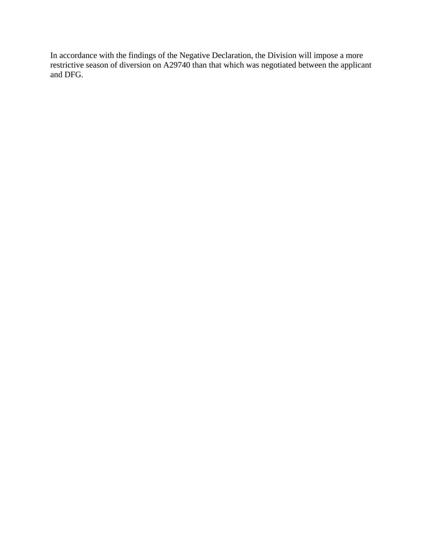In accordance with the findings of the Negative Declaration, the Division will impose a more restrictive season of diversion on A29740 than that which was negotiated between the applicant and DFG.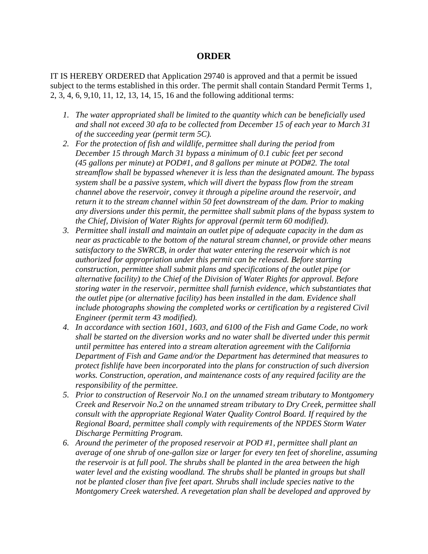## **ORDER**

IT IS HEREBY ORDERED that Application 29740 is approved and that a permit be issued subject to the terms established in this order. The permit shall contain Standard Permit Terms 1, 2, 3, 4, 6, 9,10, 11, 12, 13, 14, 15, 16 and the following additional terms:

- *1. The water appropriated shall be limited to the quantity which can be beneficially used and shall not exceed 30 afa to be collected from December 15 of each year to March 31 of the succeeding year (permit term 5C).*
- *2. For the protection of fish and wildlife, permittee shall during the period from December 15 through March 31 bypass a minimum of 0.1 cubic feet per second (45 gallons per minute) at POD#1, and 8 gallons per minute at POD#2. The total streamflow shall be bypassed whenever it is less than the designated amount. The bypass system shall be a passive system, which will divert the bypass flow from the stream channel above the reservoir, convey it through a pipeline around the reservoir, and return it to the stream channel within 50 feet downstream of the dam. Prior to making any diversions under this permit, the permittee shall submit plans of the bypass system to the Chief, Division of Water Rights for approval (permit term 60 modified).*
- *3. Permittee shall install and maintain an outlet pipe of adequate capacity in the dam as near as practicable to the bottom of the natural stream channel, or provide other means satisfactory to the SWRCB, in order that water entering the reservoir which is not authorized for appropriation under this permit can be released. Before starting construction, permittee shall submit plans and specifications of the outlet pipe (or alternative facility) to the Chief of the Division of Water Rights for approval. Before storing water in the reservoir, permittee shall furnish evidence, which substantiates that the outlet pipe (or alternative facility) has been installed in the dam. Evidence shall include photographs showing the completed works or certification by a registered Civil Engineer (permit term 43 modified).*
- *4. In accordance with section 1601, 1603, and 6100 of the Fish and Game Code, no work shall be started on the diversion works and no water shall be diverted under this permit until permittee has entered into a stream alteration agreement with the California Department of Fish and Game and/or the Department has determined that measures to protect fishlife have been incorporated into the plans for construction of such diversion works. Construction, operation, and maintenance costs of any required facility are the responsibility of the permittee.*
- *5. Prior to construction of Reservoir No.1 on the unnamed stream tributary to Montgomery Creek and Reservoir No.2 on the unnamed stream tributary to Dry Creek, permittee shall consult with the appropriate Regional Water Quality Control Board. If required by the Regional Board, permittee shall comply with requirements of the NPDES Storm Water Discharge Permitting Program.*
- *6. Around the perimeter of the proposed reservoir at POD #1, permittee shall plant an average of one shrub of one-gallon size or larger for every ten feet of shoreline, assuming the reservoir is at full pool. The shrubs shall be planted in the area between the high water level and the existing woodland. The shrubs shall be planted in groups but shall not be planted closer than five feet apart. Shrubs shall include species native to the Montgomery Creek watershed. A revegetation plan shall be developed and approved by*